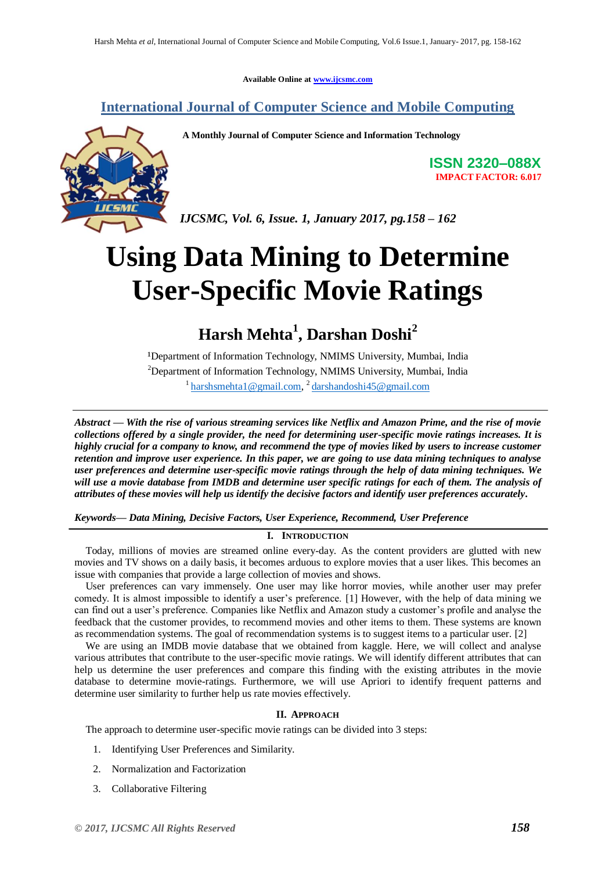**Available Online at [www.ijcsmc.com](http://www.ijcsmc.com/)**

### **International Journal of Computer Science and Mobile Computing**



**A Monthly Journal of Computer Science and Information Technology**

**ISSN 2320–088X IMPACT FACTOR: 6.017**

*IJCSMC, Vol. 6, Issue. 1, January 2017, pg.158 – 162*

# **Using Data Mining to Determine User-Specific Movie Ratings**

# **Harsh Mehta<sup>1</sup> , Darshan Doshi<sup>2</sup>**

<sup>1</sup>Department of Information Technology, NMIMS University, Mumbai, India <sup>2</sup>Department of Information Technology, NMIMS University, Mumbai, India <sup>1</sup>[harshsmehta1@gmail.com,](mailto:harshsmehta1@gmail.com)<sup>2</sup>[darshandoshi45@gmail.com](mailto:darshandoshi45@gmail.com)

*Abstract — With the rise of various streaming services like Netflix and Amazon Prime, and the rise of movie collections offered by a single provider, the need for determining user-specific movie ratings increases. It is highly crucial for a company to know, and recommend the type of movies liked by users to increase customer retention and improve user experience. In this paper, we are going to use data mining techniques to analyse user preferences and determine user-specific movie ratings through the help of data mining techniques. We will use a movie database from IMDB and determine user specific ratings for each of them. The analysis of attributes of these movies will help us identify the decisive factors and identify user preferences accurately.*

*Keywords— Data Mining, Decisive Factors, User Experience, Recommend, User Preference*

#### **I. INTRODUCTION**

Today, millions of movies are streamed online every-day. As the content providers are glutted with new movies and TV shows on a daily basis, it becomes arduous to explore movies that a user likes. This becomes an issue with companies that provide a large collection of movies and shows.

User preferences can vary immensely. One user may like horror movies, while another user may prefer comedy. It is almost impossible to identify a user's preference. [1] However, with the help of data mining we can find out a user's preference. Companies like Netflix and Amazon study a customer's profile and analyse the feedback that the customer provides, to recommend movies and other items to them. These systems are known as recommendation systems. The goal of recommendation systems is to suggest items to a particular user. [2]

We are using an IMDB movie database that we obtained from kaggle. Here, we will collect and analyse various attributes that contribute to the user-specific movie ratings. We will identify different attributes that can help us determine the user preferences and compare this finding with the existing attributes in the movie database to determine movie-ratings. Furthermore, we will use Apriori to identify frequent patterns and determine user similarity to further help us rate movies effectively.

#### **II. APPROACH**

The approach to determine user-specific movie ratings can be divided into 3 steps:

- 1. Identifying User Preferences and Similarity.
- 2. Normalization and Factorization
- 3. Collaborative Filtering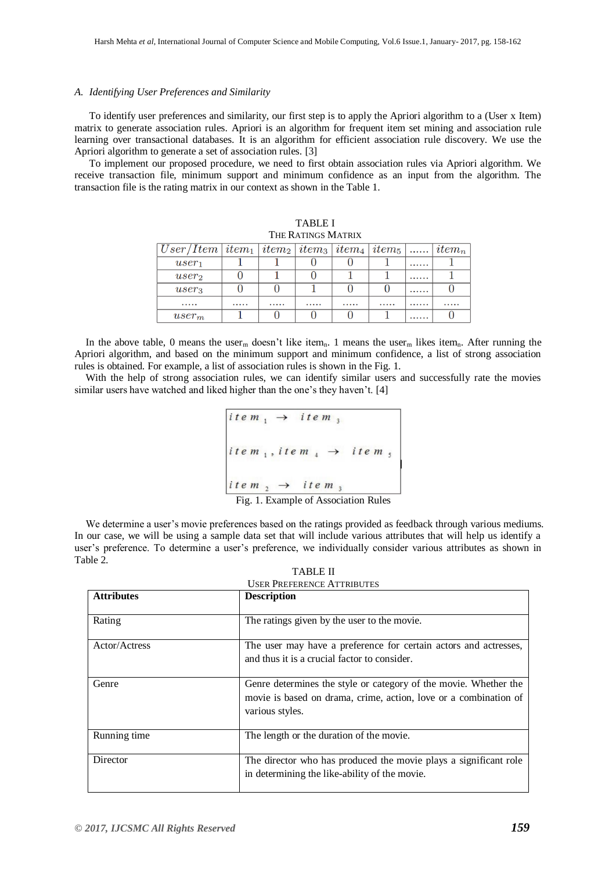#### *A. Identifying User Preferences and Similarity*

To identify user preferences and similarity, our first step is to apply the Apriori algorithm to a (User x Item) matrix to generate association rules. Apriori is an algorithm for frequent item set mining and association rule learning over transactional databases. It is an algorithm for efficient association rule discovery. We use the Apriori algorithm to generate a set of association rules. [3]

To implement our proposed procedure, we need to first obtain association rules via Apriori algorithm. We receive transaction file, minimum support and minimum confidence as an input from the algorithm. The transaction file is the rating matrix in our context as shown in the Table 1.

| THE RATINGS MATRIX                                                                                                                                                                 |  |  |  |  |  |   |  |  |
|------------------------------------------------------------------------------------------------------------------------------------------------------------------------------------|--|--|--|--|--|---|--|--|
| $\vert \textit{User/Item} \vert \textit{item}_1 \vert \textit{item}_2 \vert \textit{item}_3 \vert \textit{item}_4 \vert \textit{item}_5 \vert \text{} \vert \textit{item}_n \vert$ |  |  |  |  |  |   |  |  |
| $user_1$                                                                                                                                                                           |  |  |  |  |  |   |  |  |
| $user_2$                                                                                                                                                                           |  |  |  |  |  | . |  |  |
| $user_3$                                                                                                                                                                           |  |  |  |  |  |   |  |  |
| $\cdots\cdots\cdots$                                                                                                                                                               |  |  |  |  |  |   |  |  |
| $user_m$                                                                                                                                                                           |  |  |  |  |  | . |  |  |

TABLE I

In the above table, 0 means the user<sub>m</sub> doesn't like item<sub>n</sub>. 1 means the user<sub>m</sub> likes item<sub>n</sub>. After running the Apriori algorithm, and based on the minimum support and minimum confidence, a list of strong association rules is obtained. For example, a list of association rules is shown in the Fig. 1.

With the help of strong association rules, we can identify similar users and successfully rate the movies similar users have watched and liked higher than the one's they haven't. [4]

```
item, \rightarrow item,
item<sub>1</sub>, item<sub>4</sub> \rightarrow item<sub>5</sub><br>item<sub>2</sub> \rightarrow item<sub>3</sub><br>Fig. 1. Example of Association Rules
```
We determine a user's movie preferences based on the ratings provided as feedback through various mediums. In our case, we will be using a sample data set that will include various attributes that will help us identify a user's preference. To determine a user's preference, we individually consider various attributes as shown in Table 2.

| <b>TABLE II</b>                   |
|-----------------------------------|
| <b>USER PREFERENCE ATTRIBUTES</b> |

| <b>Attributes</b> | <b>Description</b>                                                                                                                                      |
|-------------------|---------------------------------------------------------------------------------------------------------------------------------------------------------|
| Rating            | The ratings given by the user to the movie.                                                                                                             |
| Actor/Actress     | The user may have a preference for certain actors and actresses,<br>and thus it is a crucial factor to consider.                                        |
| Genre             | Genre determines the style or category of the movie. Whether the<br>movie is based on drama, crime, action, love or a combination of<br>various styles. |
| Running time      | The length or the duration of the movie.                                                                                                                |
| Director          | The director who has produced the movie plays a significant role<br>in determining the like-ability of the movie.                                       |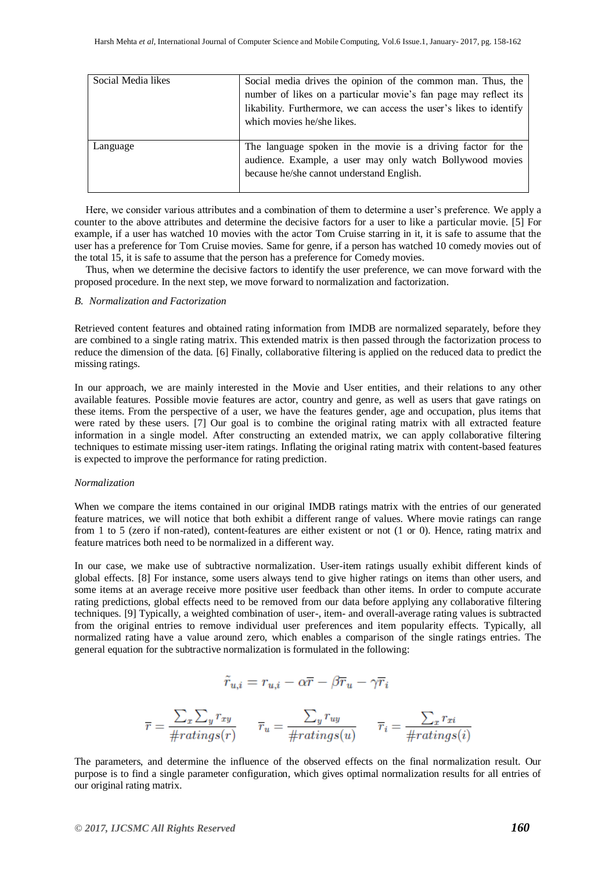| Social Media likes | Social media drives the opinion of the common man. Thus, the        |  |  |  |  |
|--------------------|---------------------------------------------------------------------|--|--|--|--|
|                    | number of likes on a particular movie's fan page may reflect its    |  |  |  |  |
|                    | likability. Furthermore, we can access the user's likes to identify |  |  |  |  |
|                    | which movies he/she likes.                                          |  |  |  |  |
|                    |                                                                     |  |  |  |  |
| Language           | The language spoken in the movie is a driving factor for the        |  |  |  |  |
|                    | audience. Example, a user may only watch Bollywood movies           |  |  |  |  |
|                    | because he/she cannot understand English.                           |  |  |  |  |
|                    |                                                                     |  |  |  |  |

Here, we consider various attributes and a combination of them to determine a user's preference. We apply a counter to the above attributes and determine the decisive factors for a user to like a particular movie. [5] For example, if a user has watched 10 movies with the actor Tom Cruise starring in it, it is safe to assume that the user has a preference for Tom Cruise movies. Same for genre, if a person has watched 10 comedy movies out of the total 15, it is safe to assume that the person has a preference for Comedy movies.

Thus, when we determine the decisive factors to identify the user preference, we can move forward with the proposed procedure. In the next step, we move forward to normalization and factorization.

#### *B. Normalization and Factorization*

Retrieved content features and obtained rating information from IMDB are normalized separately, before they are combined to a single rating matrix. This extended matrix is then passed through the factorization process to reduce the dimension of the data. [6] Finally, collaborative filtering is applied on the reduced data to predict the missing ratings.

In our approach, we are mainly interested in the Movie and User entities, and their relations to any other available features. Possible movie features are actor, country and genre, as well as users that gave ratings on these items. From the perspective of a user, we have the features gender, age and occupation, plus items that were rated by these users. [7] Our goal is to combine the original rating matrix with all extracted feature information in a single model. After constructing an extended matrix, we can apply collaborative filtering techniques to estimate missing user-item ratings. Inflating the original rating matrix with content-based features is expected to improve the performance for rating prediction.

#### *Normalization*

When we compare the items contained in our original IMDB ratings matrix with the entries of our generated feature matrices, we will notice that both exhibit a different range of values. Where movie ratings can range from 1 to 5 (zero if non-rated), content-features are either existent or not (1 or 0). Hence, rating matrix and feature matrices both need to be normalized in a different way.

In our case, we make use of subtractive normalization. User-item ratings usually exhibit different kinds of global effects. [8] For instance, some users always tend to give higher ratings on items than other users, and some items at an average receive more positive user feedback than other items. In order to compute accurate rating predictions, global effects need to be removed from our data before applying any collaborative filtering techniques. [9] Typically, a weighted combination of user-, item- and overall-average rating values is subtracted from the original entries to remove individual user preferences and item popularity effects. Typically, all normalized rating have a value around zero, which enables a comparison of the single ratings entries. The general equation for the subtractive normalization is formulated in the following:

$$
\tilde{r}_{u,i}=r_{u,i}-\alpha \overline{r}-\beta \overline{r}_u-\gamma \overline{r}_i
$$

$$
\overline{r} = \frac{\sum_{x}\sum_{y}r_{xy}}{\#ratings(r)} \qquad \overline{r}_u = \frac{\sum_{y}r_{uy}}{\#ratings(u)} \qquad \overline{r}_i = \frac{\sum_{x}r_{xi}}{\#ratings(i)}
$$

The parameters, and determine the influence of the observed effects on the final normalization result. Our purpose is to find a single parameter configuration, which gives optimal normalization results for all entries of our original rating matrix.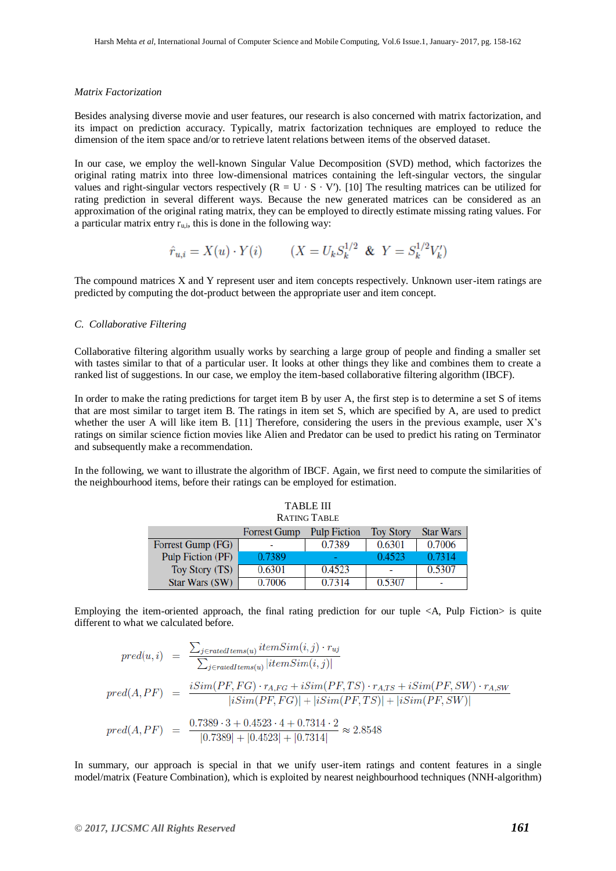#### *Matrix Factorization*

Besides analysing diverse movie and user features, our research is also concerned with matrix factorization, and its impact on prediction accuracy. Typically, matrix factorization techniques are employed to reduce the dimension of the item space and/or to retrieve latent relations between items of the observed dataset.

In our case, we employ the well-known Singular Value Decomposition (SVD) method, which factorizes the original rating matrix into three low-dimensional matrices containing the left-singular vectors, the singular values and right-singular vectors respectively ( $R = U \cdot S \cdot V'$ ). [10] The resulting matrices can be utilized for rating prediction in several different ways. Because the new generated matrices can be considered as an approximation of the original rating matrix, they can be employed to directly estimate missing rating values. For a particular matrix entry  $r_{\text{min}}$ , this is done in the following way:

$$
\hat{r}_{u,i} = X(u) \cdot Y(i)
$$
  $(X = U_k S_k^{1/2} \& Y = S_k^{1/2} V_k')$ 

The compound matrices X and Y represent user and item concepts respectively. Unknown user-item ratings are predicted by computing the dot-product between the appropriate user and item concept.

#### *C. Collaborative Filtering*

Collaborative filtering algorithm usually works by searching a large group of people and finding a smaller set with tastes similar to that of a particular user. It looks at other things they like and combines them to create a ranked list of suggestions. In our case, we employ the item-based collaborative filtering algorithm (IBCF).

In order to make the rating predictions for target item B by user A, the first step is to determine a set S of items that are most similar to target item B. The ratings in item set S, which are specified by A, are used to predict whether the user A will like item B. [11] Therefore, considering the users in the previous example, user X's ratings on similar science fiction movies like Alien and Predator can be used to predict his rating on Terminator and subsequently make a recommendation.

In the following, we want to illustrate the algorithm of IBCF. Again, we first need to compute the similarities of the neighbourhood items, before their ratings can be employed for estimation.

| <b>TABLE III</b>  |                     |                     |                  |                  |  |  |  |  |
|-------------------|---------------------|---------------------|------------------|------------------|--|--|--|--|
| RATING TABLE      |                     |                     |                  |                  |  |  |  |  |
|                   | <b>Forrest Gump</b> | <b>Pulp Fiction</b> | <b>Toy Story</b> | <b>Star Wars</b> |  |  |  |  |
| Forrest Gump (FG) |                     | 0.7389              | 0.6301           | 0.7006           |  |  |  |  |
| Pulp Fiction (PF) | 0.7389              |                     | 0.4523           | 0.7314           |  |  |  |  |
| Toy Story (TS)    | 0.6301              | 0.4523              |                  | 0.5307           |  |  |  |  |
| Star Wars (SW)    | 0.7006              | 0.7314              | 0.5307           |                  |  |  |  |  |

Employing the item-oriented approach, the final rating prediction for our tuple  $\langle A, P \rangle$  Fiction is quite different to what we calculated before.

$$
pred(u, i) = \frac{\sum_{j \in ratedItems(u)} itemSim(i, j) \cdot r_{uj}}{\sum_{j \in ratedItems(u)} | itemSim(i, j)|}
$$
\n
$$
pred(A, PF) = \frac{iSim(PF, FG) \cdot r_{A,FG} + iSim(PF, TS) \cdot r_{A,TS} + iSim(PF, SW) \cdot r_{A,SW}}{|iSim(PF, FG)| + |iSim(PF, TS)| + |iSim(PF, SW)|}
$$
\n
$$
pred(A, PF) = \frac{0.7389 \cdot 3 + 0.4523 \cdot 4 + 0.7314 \cdot 2}{|0.7389| + |0.4523| + |0.7314|} \approx 2.8548
$$

In summary, our approach is special in that we unify user-item ratings and content features in a single model/matrix (Feature Combination), which is exploited by nearest neighbourhood techniques (NNH-algorithm)